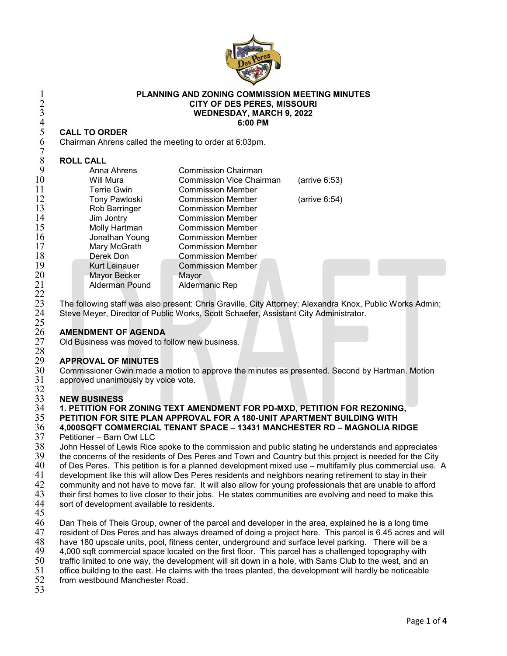

## **PLANNING AND ZONING COMMISSION MEETING MINUTES CITY OF DES PERES, MISSOURI WEDNESDAY, MARCH 9, 2022 6:00 PM**

## **CALL TO ORDER**

### **ROLL CALL**

|    | <b>CITY OF DES PERES, MISSOURI</b><br><b>WEDNESDAY, MARCH 9, 2022</b><br>6:00 PM |                                 |               |
|----|----------------------------------------------------------------------------------|---------------------------------|---------------|
| 4  |                                                                                  |                                 |               |
| 5  | <b>CALL TO ORDER</b>                                                             |                                 |               |
| 6  | Chairman Ahrens called the meeting to order at 6:03pm.                           |                                 |               |
| 8  | <b>ROLL CALL</b>                                                                 |                                 |               |
| 9  | Anna Ahrens                                                                      | Commission Chairman             |               |
| 10 | Will Mura                                                                        | <b>Commission Vice Chairman</b> | (arrive 6:53) |
| 11 | Terrie Gwin                                                                      | <b>Commission Member</b>        |               |
| 12 | <b>Tony Pawloski</b>                                                             | <b>Commission Member</b>        | (arrive 6:54) |
| 13 | Rob Barringer                                                                    | <b>Commission Member</b>        |               |
| 14 | Jim Jontry                                                                       | <b>Commission Member</b>        |               |
| 15 | Molly Hartman                                                                    | <b>Commission Member</b>        |               |
| 16 | Jonathan Young                                                                   | <b>Commission Member</b>        |               |
| 17 | Mary McGrath                                                                     | <b>Commission Member</b>        |               |
| 18 | Derek Don                                                                        | <b>Commission Member</b>        |               |
| 19 | <b>Kurt Leinauer</b>                                                             | <b>Commission Member</b>        |               |
| 20 | Mayor Becker                                                                     | Mayor                           |               |
| 21 | <b>Alderman Pound</b>                                                            | Aldermanic Rep                  |               |

23 The following staff was also present: Chris Graville, City Attorney; Alexandra Knox, Public Works Admin;<br>24 Steve Meyer, Director of Public Works, Scott Schaefer, Assistant City Administrator. Steve Meyer, Director of Public Works, Scott Schaefer, Assistant City Administrator.

# **AMENDMENT OF AGENDA**

Old Business was moved to follow new business.

## 28<br>29 **APPROVAL OF MINUTES**

 Commissioner Gwin made a motion to approve the minutes as presented. Second by Hartman. Motion approved unanimously by voice vote.

# $\frac{32}{33}$

## **NEW BUSINESS**

# **1. PETITION FOR ZONING TEXT AMENDMENT FOR PD-MXD, PETITION FOR REZONING,**

 **PETITION FOR SITE PLAN APPROVAL FOR A 180-UNIT APARTMENT BUILDING WITH 4,000SQFT COMMERCIAL TENANT SPACE – 13431 MANCHESTER RD – MAGNOLIA RIDGE**

 Petitioner – Barn Owl LLC John Hessel of Lewis Rice spoke to the commission and public stating he understands and appreciates 39 the concerns of the residents of Des Peres and Town and Country but this project is needed for the City<br>40 of Des Peres. This petition is for a planned development mixed use – multifamily plus commercial use. of Des Peres. This petition is for a planned development mixed use – multifamily plus commercial use. A development like this will allow Des Peres residents and neighbors nearing retirement to stay in their 42 community and not have to move far. It will also allow for young professionals that are unable to afford<br>43 their first homes to live closer to their jobs. He states communities are evolving and need to make this

- 43 their first homes to live closer to their jobs. He states communities are evolving and need to make this 44 sort of development available to residents. sort of development available to residents.
- 

 $\frac{22}{23}$ 

 $\frac{25}{26}$ 

 Dan Theis of Theis Group, owner of the parcel and developer in the area, explained he is a long time 47 resident of Des Peres and has always dreamed of doing a project here. This parcel is 6.45 acres and will 48 have 180 upscale units, pool, fitness center, underground and surface level parking. There will be a 48 have 180 upscale units, pool, fitness center, underground and surface level parking. There will be a<br>49 4,000 sqft commercial space located on the first floor. This parcel has a challenged topography with 49 4,000 sqft commercial space located on the first floor. This parcel has a challenged topography with<br>50 traffic limited to one way, the development will sit down in a hole, with Sams Club to the west, and an 50 traffic limited to one way, the development will sit down in a hole, with Sams Club to the west, and an 51 office building to the east. He claims with the trees planted, the development will hardly be noticeable

office building to the east. He claims with the trees planted, the development will hardly be noticeable

- from westbound Manchester Road.
-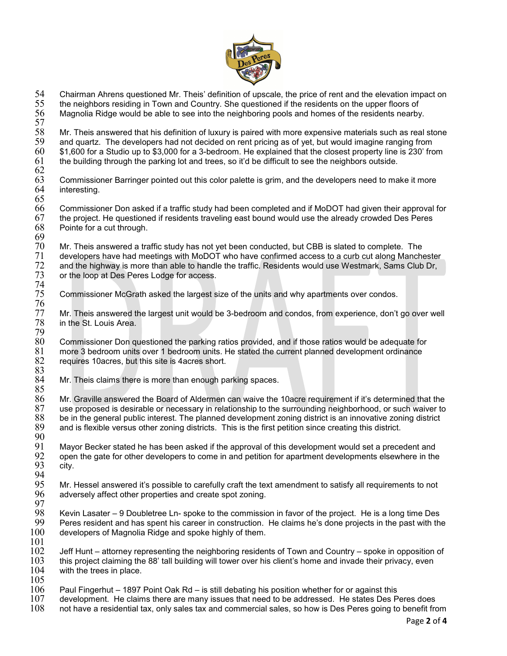

54 Chairman Ahrens questioned Mr. Theis' definition of upscale, the price of rent and the elevation impact on<br>55 the neighbors residing in Town and Country. She questioned if the residents on the upper floors of 55 the neighbors residing in Town and Country. She questioned if the residents on the upper floors of Magnolia Ridge would be able to see into the neighboring pools and homes of the residents nearby. 57<br>58 58 Mr. Theis answered that his definition of luxury is paired with more expensive materials such as real stone 59 and quartz. The developers had not decided on rent pricing as of yet, but would imagine ranging from 60  $\,$  \$1,600 for a Studio up to \$3,000 for a 3-bedroom. He explained that the closest property line is 230' from 61 the building through the parking lot and trees, so it'd be difficult to see the neighbors outside. the building through the parking lot and trees, so it'd be difficult to see the neighbors outside. 62 63 Commissioner Barringer pointed out this color palette is grim, and the developers need to make it more interesting. 65 66 Commissioner Don asked if a traffic study had been completed and if MoDOT had given their approval for  $67$  the project. He questioned if residents traveling east bound would use the already crowded Des Peres  $68$  Pointe for a cut through. Pointe for a cut through. 69<br>70 70 Mr. Theis answered a traffic study has not yet been conducted, but CBB is slated to complete. The developers have had meetings with MoDOT who have confirmed access to a curb cut along Manchester and the highway is more than able to handle the traffic. Residents would use Westmark, Sams Club Dr, or the loop at Des Peres Lodge for access.  $\frac{72}{73}$ <br> $\frac{74}{75}$ 75 Commissioner McGrath asked the largest size of the units and why apartments over condos. 76<br>77 77 Mr. Theis answered the largest unit would be 3-bedroom and condos, from experience, don't go over well 78 in the St. Louis Area. in the St. Louis Area. 79 80 Commissioner Don questioned the parking ratios provided, and if those ratios would be adequate for 81 more 3 bedroom units over 1 bedroom units. He stated the current planned development ordinance  $81$  more 3 bedroom units over 1 bedroom units. He stated the current planned development ordinance  $82$  requires 10acres, but this site is 4acres short. requires 10acres, but this site is 4acres short. 83<br>84 Mr. Theis claims there is more than enough parking spaces. 85<br>86 86 Mr. Graville answered the Board of Aldermen can waive the 10acre requirement if it's determined that the  $87$  use proposed is desirable or necessary in relationship to the surrounding neighborhood, or such waiver to  $88$  be in the general public interest. The planned development zoning that innovative zoning district  $88$  be in the general public interest. The planned development zoning district is an innovative zoning district  $89$  and is flexible versus other zoning district. and is flexible versus other zoning districts. This is the first petition since creating this district. 90<br>91 91 Mayor Becker stated he has been asked if the approval of this development would set a precedent and 92 open the gate for other developers to come in and petition for apartment developments elsewhere in the city. 94<br>95 95 Mr. Hessel answered it's possible to carefully craft the text amendment to satisfy all requirements to not adversely affect other properties and create spot zoning. 97<br>98 98 Kevin Lasater – 9 Doubletree Ln- spoke to the commission in favor of the project. He is a long time Des 99 Peres resident and has spent his career in construction. He claims he's done projects in the past with the  $100$  developers of Magnolia Ridge and spoke highly of them. developers of Magnolia Ridge and spoke highly of them.  $\frac{101}{102}$ 102 Jeff Hunt – attorney representing the neighboring residents of Town and Country – spoke in opposition of<br>103 this project claiming the 88' tall building will tower over his client's home and invade their privacy, even 103 this project claiming the 88' tall building will tower over his client's home and invade their privacy, even 104 with the trees in place. with the trees in place.  $\frac{105}{106}$  $106$  Paul Fingerhut – 1897 Point Oak Rd – is still debating his position whether for or against this  $107$  development. He claims there are many issues that need to be addressed. He states Des P development. He claims there are many issues that need to be addressed. He states Des Peres does 108 not have a residential tax, only sales tax and commercial sales, so how is Des Peres going to benefit from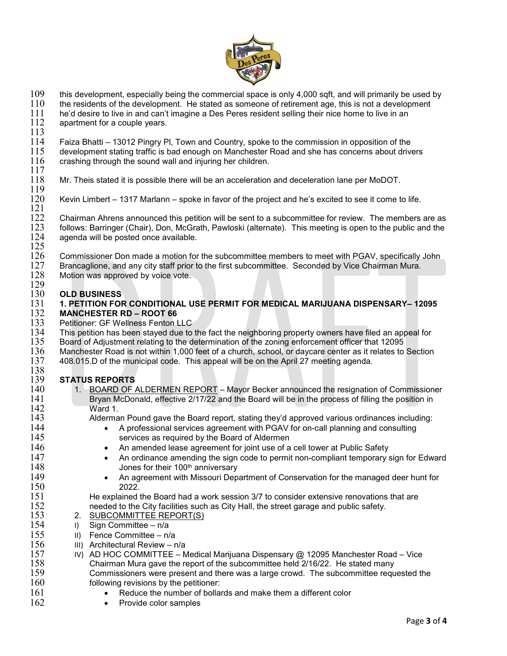

109 this development, especially being the commercial space is only 4,000 sqft, and will primarily be used by<br>110 the residents of the development. He stated as someone of retirement age, this is not a development

- $110$  the residents of the development. He stated as someone of retirement age, this is not a development  $111$  he'd desire to live in an can't imagine a Des Peres resident selling their nice home to live in an
- 111 he'd desire to live in and can't imagine a Des Peres resident selling their nice home to live in an <br>112 apartment for a couple years. apartment for a couple years.

 $\frac{113}{114}$ 114 Faiza Bhatti – 13012 Pingry Pl, Town and Country, spoke to the commission in opposition of the  $115$  development stating traffic is bad enough on Manchester Road and she has concerns about drivers  $116$  crashing through the sound wall and injuring her children. crashing through the sound wall and injuring her children.

- $\frac{117}{118}$ Mr. Theis stated it is possible there will be an acceleration and deceleration lane per MoDOT.
- $\frac{119}{120}$ Kevin Limbert – 1317 Marlann – spoke in favor of the project and he's excited to see it come to life.
- $\frac{121}{122}$ 122 Chairman Ahrens announced this petition will be sent to a subcommittee for review. The members are as 123 follows: Barringer (Chair), Don, McGrath, Pawloski (alternate). This meeting is open to the public and the 123 follows: Barringer (Chair), Don, McGrath, Pawloski (alternate). This meeting is open to the public and the<br>124 agenda will be posted once available. agenda will be posted once available.
- $\frac{125}{126}$ 126 Commissioner Don made a motion for the subcommittee members to meet with PGAV, specifically John<br>127 Brancaglione, and any city staff prior to the first subcommittee. Seconded by Vice Chairman Mura.
- 127 Brancaglione, and any city staff prior to the first subcommittee. Seconded by Vice Chairman Mura.<br>128 Motion was approved by voice vote.
- Motion was approved by voice vote.

# $\frac{129}{130}$

## 130 **OLD BUSINESS** 131 **1. PETITION FOR CONDITIONAL USE PERMIT FOR MEDICAL MARIJUANA DISPENSARY– 12095**

- 132 **MANCHESTER RD ROOT 66**<br>133 Petitioner: GF Wellness Fenton I 133 Petitioner: GF Wellness Fenton LLC<br>134 This petition has been stayed due to
- 134 This petition has been stayed due to the fact the neighboring property owners have filed an appeal for 135<br>135 Board of Adjustment relating to the determination of the zoning enforcement officer that 12095
- 135 Board of Adjustment relating to the determination of the zoning enforcement officer that 12095<br>136 Manchester Road is not within 1,000 feet of a church, school, or daycare center as it relates to
- 136 Manchester Road is not within 1,000 feet of a church, school, or daycare center as it relates to Section<br>137 408.015.D of the municipal code. This appeal will be on the April 27 meeting agenda.
- 137 408.015.D of the municipal code. This appeal will be on the April 27 meeting agenda. 138<br>139

# 139 **STATUS REPORTS**

- 140 1. BOARD OF ALDERMEN REPORT Mayor Becker announced the resignation of Commissioner<br>141 Bryan McDonald, effective 2/17/22 and the Board will be in the process of filling the position in 141 Bryan McDonald, effective 2/17/22 and the Board will be in the process of filling the position in 142 Ward 1.<br>143 Alderma
- Alderman Pound gave the Board report, stating they'd approved various ordinances including:<br>144 A professional services agreement with PGAV for on-call planning and consulting
- 144 A professional services agreement with PGAV for on-call planning and consulting 145 services as required by the Board of Aldermen<br>146 • An amended lease agreement for joint use of a
- 146 An amended lease agreement for joint use of a cell tower at Public Safety<br>147 An ordinance amending the sign code to permit non-compliant temporary s
- 147 **•** An ordinance amending the sign code to permit non-compliant temporary sign for Edward 148 Jones for their 100<sup>th</sup> anniversary
- 149 An agreement with Missouri Department of Conservation for the managed deer hunt for

150 2022.<br>151 He explained 151 He explained the Board had a work session 3/7 to consider extensive renovations that are 152 152 needed to the City facilities such as City Hall, the street garage and public safety.<br>153 2. SUBCOMMITTEE REPORT(S)

- 153 2. SUBCOMMITTEE REPORT(S)<br>154 1 Sign Committee n/a
- 154 I) Sign Committee  $-\frac{n}{a}$ <br>155 III Fence Committee n/a
- 155 II) Fence Committee n/a<br>156 III) Architectural Review n
	-
- 156 III) Architectural Review n/a<br>157 IV) AD HOC COMMITTEE N IV) AD HOC COMMITTEE – Medical Marijuana Dispensary @ 12095 Manchester Road – Vice<br>158 Chairman Mura gave the report of the subcommittee held 2/16/22. He stated many 158 Chairman Mura gave the report of the subcommittee held 2/16/22. He stated many 159 Commissioners were present and there was a large crowd. The subcommittee requested the 160 following revisions by the petitioner:<br>161 • Reduce the number of bollar
- 161 Reduce the number of bollards and make them a different color<br>162 Provide color samples
	- Provide color samples